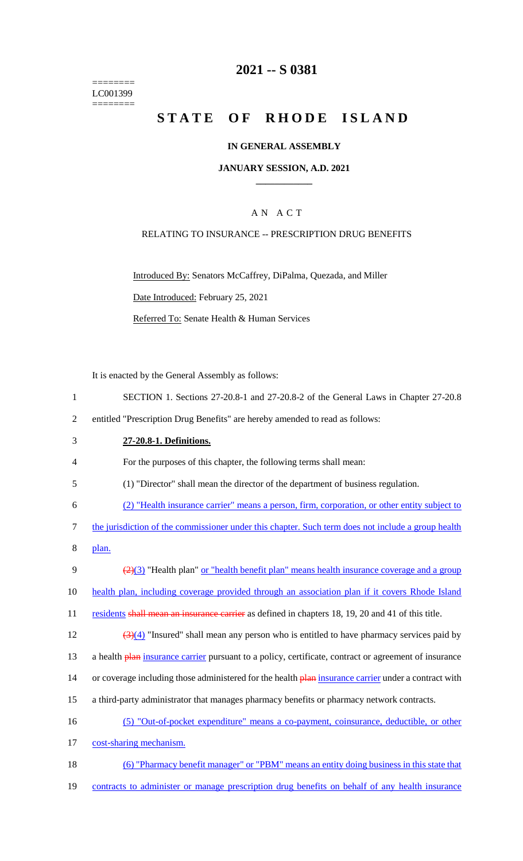======== LC001399  $=$ 

# **2021 -- S 0381**

# **STATE OF RHODE ISLAND**

### **IN GENERAL ASSEMBLY**

#### **JANUARY SESSION, A.D. 2021 \_\_\_\_\_\_\_\_\_\_\_\_**

### A N A C T

### RELATING TO INSURANCE -- PRESCRIPTION DRUG BENEFITS

Introduced By: Senators McCaffrey, DiPalma, Quezada, and Miller Date Introduced: February 25, 2021 Referred To: Senate Health & Human Services

It is enacted by the General Assembly as follows:

| $\mathbf{1}$   | SECTION 1. Sections 27-20.8-1 and 27-20.8-2 of the General Laws in Chapter 27-20.8                                         |
|----------------|----------------------------------------------------------------------------------------------------------------------------|
| $\overline{2}$ | entitled "Prescription Drug Benefits" are hereby amended to read as follows:                                               |
| 3              | 27-20.8-1. Definitions.                                                                                                    |
| 4              | For the purposes of this chapter, the following terms shall mean:                                                          |
| 5              | (1) "Director" shall mean the director of the department of business regulation.                                           |
| 6              | (2) "Health insurance carrier" means a person, firm, corporation, or other entity subject to                               |
| 7              | the jurisdiction of the commissioner under this chapter. Such term does not include a group health                         |
| 8              | plan.                                                                                                                      |
| 9              | $\left(\frac{2}{2}\right)$ "Health plan" or "health benefit plan" means health insurance coverage and a group              |
| 10             | health plan, including coverage provided through an association plan if it covers Rhode Island                             |
| 11             | residents shall mean an insurance carrier as defined in chapters 18, 19, 20 and 41 of this title.                          |
| 12             | $\left(\frac{3}{4}\right)\left(4\right)$ "Insured" shall mean any person who is entitled to have pharmacy services paid by |
| 13             | a health plan insurance carrier pursuant to a policy, certificate, contract or agreement of insurance                      |
| 14             | or coverage including those administered for the health plan insurance carrier under a contract with                       |
| 15             | a third-party administrator that manages pharmacy benefits or pharmacy network contracts.                                  |
| 16             | (5) "Out-of-pocket expenditure" means a co-payment, coinsurance, deductible, or other                                      |
| 17             | cost-sharing mechanism.                                                                                                    |
| 18             | (6) "Pharmacy benefit manager" or "PBM" means an entity doing business in this state that                                  |
| 19             | contracts to administer or manage prescription drug benefits on behalf of any health insurance                             |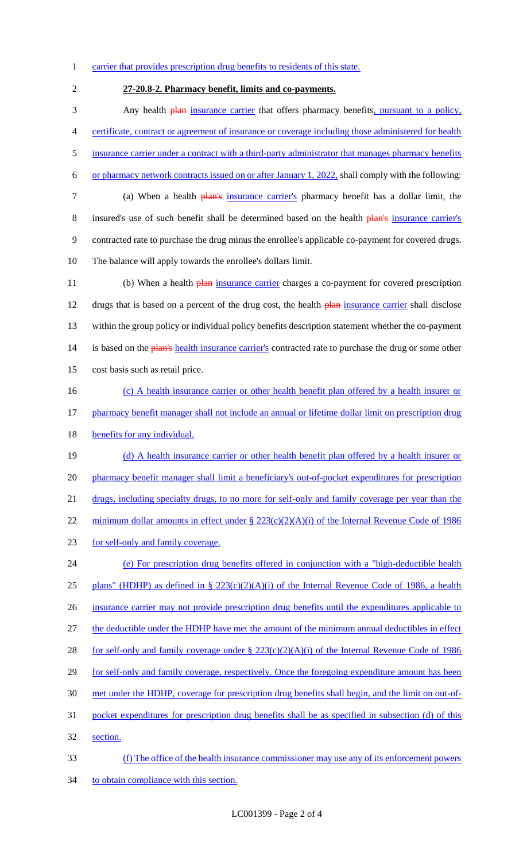1 carrier that provides prescription drug benefits to residents of this state.

# 2 **27-20.8-2. Pharmacy benefit, limits and co-payments.**

3 Any health **plan** insurance carrier that offers pharmacy benefits, pursuant to a policy, 4 certificate, contract or agreement of insurance or coverage including those administered for health 5 insurance carrier under a contract with a third-party administrator that manages pharmacy benefits 6 or pharmacy network contracts issued on or after January 1, 2022, shall comply with the following: 7 (a) When a health plan's insurance carrier's pharmacy benefit has a dollar limit, the 8 insured's use of such benefit shall be determined based on the health plan's insurance carrier's 9 contracted rate to purchase the drug minus the enrollee's applicable co-payment for covered drugs. 10 The balance will apply towards the enrollee's dollars limit. 11 (b) When a health **plan** insurance carrier charges a co-payment for covered prescription

12 drugs that is based on a percent of the drug cost, the health plan insurance carrier shall disclose 13 within the group policy or individual policy benefits description statement whether the co-payment 14 is based on the plan's health insurance carrier's contracted rate to purchase the drug or some other 15 cost basis such as retail price.

16 (c) A health insurance carrier or other health benefit plan offered by a health insurer or 17 pharmacy benefit manager shall not include an annual or lifetime dollar limit on prescription drug 18 benefits for any individual.

19 (d) A health insurance carrier or other health benefit plan offered by a health insurer or 20 pharmacy benefit manager shall limit a beneficiary's out-of-pocket expenditures for prescription 21 drugs, including specialty drugs, to no more for self-only and family coverage per year than the 22 minimum dollar amounts in effect under § 223(c)(2)(A)(i) of the Internal Revenue Code of 1986 23 for self-only and family coverage.

- 24 (e) For prescription drug benefits offered in conjunction with a "high-deductible health 25 plans" (HDHP) as defined in §  $223(c)(2)(A)(i)$  of the Internal Revenue Code of 1986, a health 26 insurance carrier may not provide prescription drug benefits until the expenditures applicable to 27 the deductible under the HDHP have met the amount of the minimum annual deductibles in effect 28 for self-only and family coverage under  $\S 223(c)(2)(A)(i)$  of the Internal Revenue Code of 1986 29 for self-only and family coverage, respectively. Once the foregoing expenditure amount has been 30 met under the HDHP, coverage for prescription drug benefits shall begin, and the limit on out-of-31 pocket expenditures for prescription drug benefits shall be as specified in subsection (d) of this 32 section.
- 33 (f) The office of the health insurance commissioner may use any of its enforcement powers 34 to obtain compliance with this section.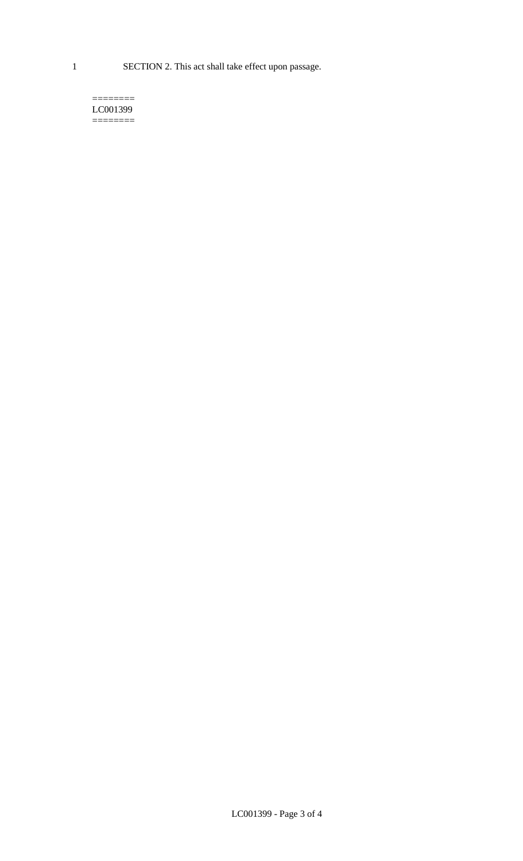1 SECTION 2. This act shall take effect upon passage.

#### $=$ LC001399  $=$

LC001399 - Page 3 of 4